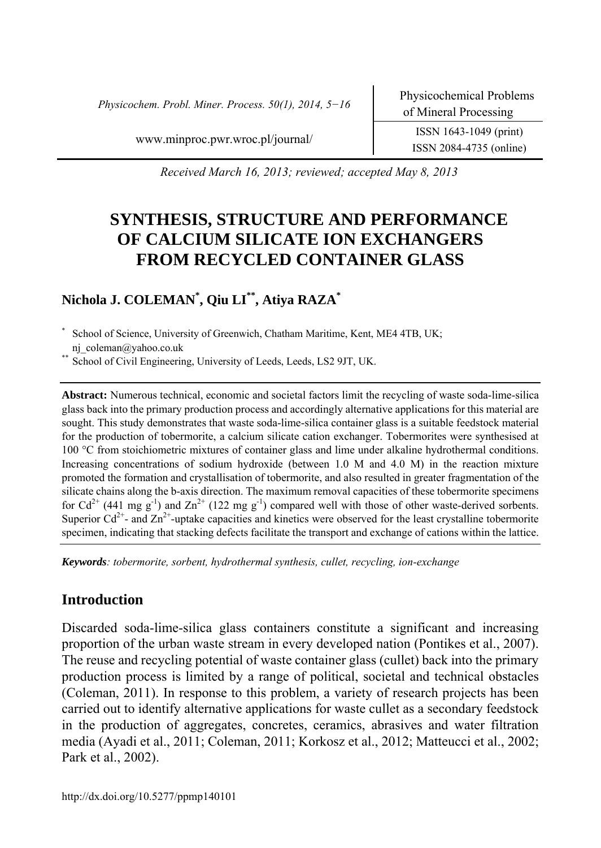*Physicochem. Probl. Miner. Process. 50(1), 2014, 5−16* Physicochemical Problems

ISSN 2084-4735 (online)

www.minproc.pwr.wroc.pl/journal/ ISSN 1643-1049 (print)

*Received March 16, 2013; reviewed; accepted May 8, 2013* 

# **SYNTHESIS, STRUCTURE AND PERFORMANCE OF CALCIUM SILICATE ION EXCHANGERS FROM RECYCLED CONTAINER GLASS**

### **Nichola J. COLEMAN\* , Qiu LI\*\*, Atiya RAZA\***

School of Science, University of Greenwich, Chatham Maritime, Kent, ME4 4TB, UK; nj\_coleman@yahoo.co.uk \* School of Civil Engineering, University of Leeds, Leeds, LS2 9JT, UK.

**Abstract:** Numerous technical, economic and societal factors limit the recycling of waste soda-lime-silica glass back into the primary production process and accordingly alternative applications for this material are sought. This study demonstrates that waste soda-lime-silica container glass is a suitable feedstock material for the production of tobermorite, a calcium silicate cation exchanger. Tobermorites were synthesised at 100 °C from stoichiometric mixtures of container glass and lime under alkaline hydrothermal conditions. Increasing concentrations of sodium hydroxide (between 1.0 M and 4.0 M) in the reaction mixture promoted the formation and crystallisation of tobermorite, and also resulted in greater fragmentation of the silicate chains along the b-axis direction. The maximum removal capacities of these tobermorite specimens for  $Cd^{2+}$  (441 mg g<sup>-1</sup>) and  $Zn^{2+}$  (122 mg g<sup>-1</sup>) compared well with those of other waste-derived sorbents. Superior  $Cd^{2+}$ - and  $Zn^{2+}$ -uptake capacities and kinetics were observed for the least crystalline tobermorite specimen, indicating that stacking defects facilitate the transport and exchange of cations within the lattice.

*Keywords: tobermorite, sorbent, hydrothermal synthesis, cullet, recycling, ion-exchange* 

### **Introduction**

Discarded soda-lime-silica glass containers constitute a significant and increasing proportion of the urban waste stream in every developed nation (Pontikes et al., 2007). The reuse and recycling potential of waste container glass (cullet) back into the primary production process is limited by a range of political, societal and technical obstacles (Coleman, 2011). In response to this problem, a variety of research projects has been carried out to identify alternative applications for waste cullet as a secondary feedstock in the production of aggregates, concretes, ceramics, abrasives and water filtration media (Ayadi et al., 2011; Coleman, 2011; Korkosz et al., 2012; Matteucci et al., 2002; Park et al., 2002).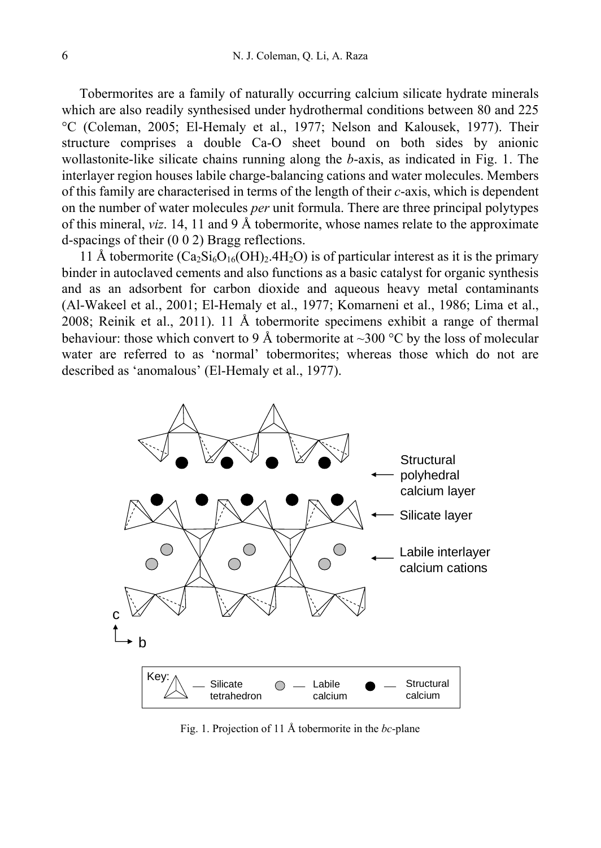Tobermorites are a family of naturally occurring calcium silicate hydrate minerals which are also readily synthesised under hydrothermal conditions between 80 and 225 °C (Coleman, 2005; El-Hemaly et al., 1977; Nelson and Kalousek, 1977). Their structure comprises a double Ca-O sheet bound on both sides by anionic wollastonite-like silicate chains running along the *b*-axis, as indicated in Fig. 1. The interlayer region houses labile charge-balancing cations and water molecules. Members of this family are characterised in terms of the length of their *c*-axis, which is dependent on the number of water molecules *per* unit formula. There are three principal polytypes of this mineral, *viz*. 14, 11 and 9 Å tobermorite, whose names relate to the approximate d-spacings of their (0 0 2) Bragg reflections.

11 Å tobermorite  $(Ca_2Si_6O_{16}(OH)_2.4H_2O)$  is of particular interest as it is the primary binder in autoclaved cements and also functions as a basic catalyst for organic synthesis and as an adsorbent for carbon dioxide and aqueous heavy metal contaminants (Al-Wakeel et al., 2001; El-Hemaly et al., 1977; Komarneni et al., 1986; Lima et al., 2008; Reinik et al., 2011). 11 Å tobermorite specimens exhibit a range of thermal behaviour: those which convert to 9 Å tobermorite at ~300 °C by the loss of molecular water are referred to as 'normal' tobermorites; whereas those which do not are described as 'anomalous' (El-Hemaly et al., 1977).



Fig. 1. Projection of 11 Å tobermorite in the *bc*-plane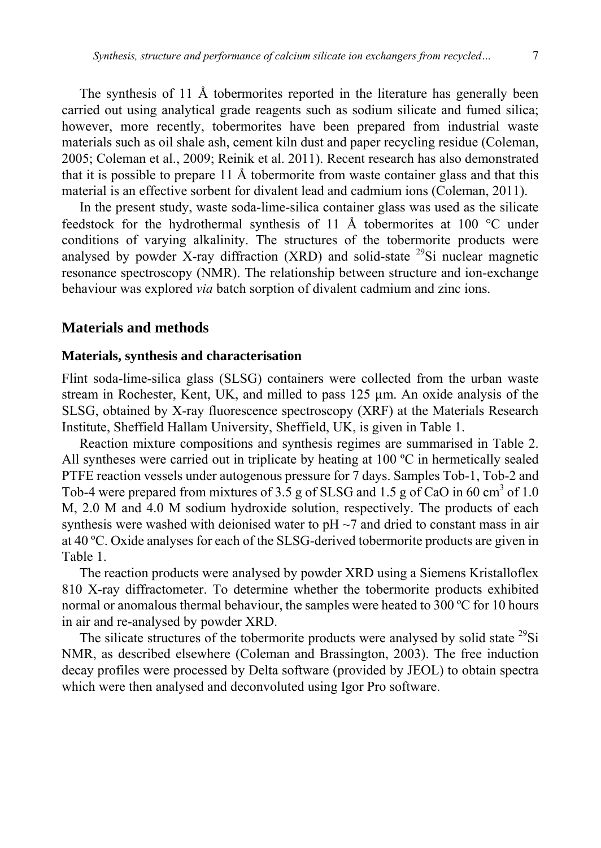The synthesis of 11 Å tobermorites reported in the literature has generally been carried out using analytical grade reagents such as sodium silicate and fumed silica; however, more recently, tobermorites have been prepared from industrial waste materials such as oil shale ash, cement kiln dust and paper recycling residue (Coleman, 2005; Coleman et al., 2009; Reinik et al. 2011). Recent research has also demonstrated that it is possible to prepare 11 Å tobermorite from waste container glass and that this material is an effective sorbent for divalent lead and cadmium ions (Coleman, 2011).

In the present study, waste soda-lime-silica container glass was used as the silicate feedstock for the hydrothermal synthesis of 11 Å tobermorites at 100 °C under conditions of varying alkalinity. The structures of the tobermorite products were analysed by powder X-ray diffraction (XRD) and solid-state  $^{29}$ Si nuclear magnetic resonance spectroscopy (NMR). The relationship between structure and ion-exchange behaviour was explored *via* batch sorption of divalent cadmium and zinc ions.

#### **Materials and methods**

#### **Materials, synthesis and characterisation**

Flint soda-lime-silica glass (SLSG) containers were collected from the urban waste stream in Rochester, Kent, UK, and milled to pass 125 µm. An oxide analysis of the SLSG, obtained by X-ray fluorescence spectroscopy (XRF) at the Materials Research Institute, Sheffield Hallam University, Sheffield, UK, is given in Table 1.

Reaction mixture compositions and synthesis regimes are summarised in Table 2. All syntheses were carried out in triplicate by heating at 100 ºC in hermetically sealed PTFE reaction vessels under autogenous pressure for 7 days. Samples Tob-1, Tob-2 and Tob-4 were prepared from mixtures of 3.5 g of SLSG and 1.5 g of CaO in 60 cm<sup>3</sup> of 1.0 M, 2.0 M and 4.0 M sodium hydroxide solution, respectively. The products of each synthesis were washed with deionised water to  $pH \sim 7$  and dried to constant mass in air at 40 ºC. Oxide analyses for each of the SLSG-derived tobermorite products are given in Table 1.

The reaction products were analysed by powder XRD using a Siemens Kristalloflex 810 X-ray diffractometer. To determine whether the tobermorite products exhibited normal or anomalous thermal behaviour, the samples were heated to 300 ºC for 10 hours in air and re-analysed by powder XRD.

The silicate structures of the tobermorite products were analysed by solid state  $^{29}Si$ NMR, as described elsewhere (Coleman and Brassington, 2003). The free induction decay profiles were processed by Delta software (provided by JEOL) to obtain spectra which were then analysed and deconvoluted using Igor Pro software.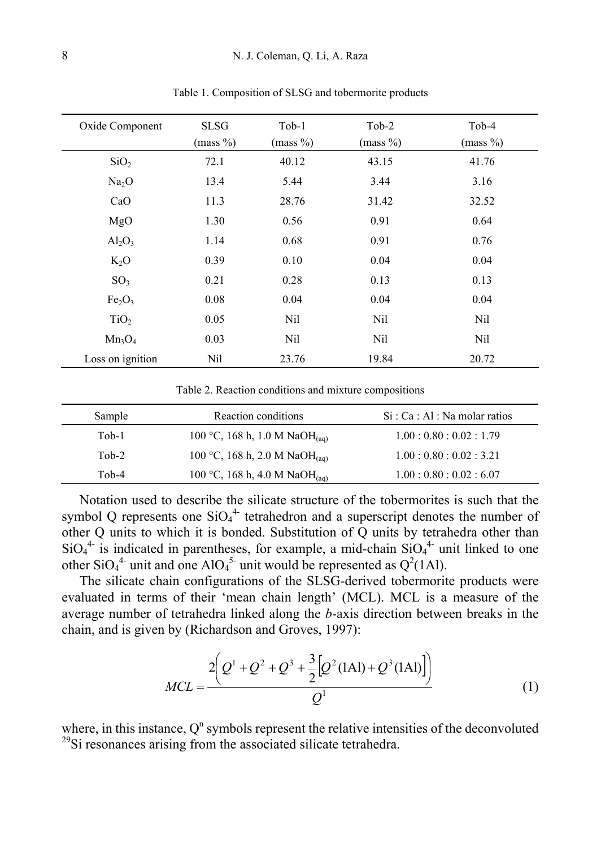| Oxide Component                | <b>SLSG</b><br>(mass %) | $Tob-1$<br>(mass %) | Tob-2<br>(mass %) | Tob-4<br>(mass %) |
|--------------------------------|-------------------------|---------------------|-------------------|-------------------|
| SiO <sub>2</sub>               | 72.1                    | 40.12               | 43.15             | 41.76             |
| Na <sub>2</sub> O              | 13.4                    | 5.44                | 3.44              | 3.16              |
| CaO                            | 11.3                    | 28.76               | 31.42             | 32.52             |
| MgO                            | 1.30                    | 0.56                | 0.91              | 0.64              |
| $Al_2O_3$                      | 1.14                    | 0.68                | 0.91              | 0.76              |
| $K_2O$                         | 0.39                    | 0.10                | 0.04              | 0.04              |
| SO <sub>3</sub>                | 0.21                    | 0.28                | 0.13              | 0.13              |
| Fe <sub>2</sub> O <sub>3</sub> | 0.08                    | 0.04                | 0.04              | 0.04              |
| TiO <sub>2</sub>               | 0.05                    | Nil                 | Nil               | Nil               |
| $Mn_3O_4$                      | 0.03                    | Nil                 | Nil               | Nil               |
| Loss on ignition               | Nil                     | 23.76               | 19.84             | 20.72             |

Table 1. Composition of SLSG and tobermorite products

Table 2. Reaction conditions and mixture compositions

| Sample   | Reaction conditions                       | Si: Ca: Al: Na molar ratios |
|----------|-------------------------------------------|-----------------------------|
| $Tob-1$  | 100 °C, 168 h, 1.0 M NaOH <sub>(a0)</sub> | 1.00:0.80:0.02:1.79         |
| $T_0h-2$ | 100 °C, 168 h, 2.0 M NaOH <sub>(aq)</sub> | 1.00:0.80:0.02:3.21         |
| $T_0b-4$ | 100 °C, 168 h, 4.0 M NaOH <sub>(aq)</sub> | 1.00:0.80:0.02:6.07         |

Notation used to describe the silicate structure of the tobermorites is such that the symbol Q represents one  $SiO<sub>4</sub><sup>4</sup>$  tetrahedron and a superscript denotes the number of other Q units to which it is bonded. Substitution of Q units by tetrahedra other than  $SiO<sub>4</sub><sup>4</sup>$  is indicated in parentheses, for example, a mid-chain  $SiO<sub>4</sub><sup>4</sup>$  unit linked to one other SiO<sub>4</sub><sup>4</sup> unit and one AlO<sub>4</sub><sup>5</sup> unit would be represented as Q<sup>2</sup>(1Al).

The silicate chain configurations of the SLSG-derived tobermorite products were evaluated in terms of their 'mean chain length' (MCL). MCL is a measure of the average number of tetrahedra linked along the *b*-axis direction between breaks in the chain, and is given by (Richardson and Groves, 1997):

$$
MCL = \frac{2\left(Q^{1} + Q^{2} + Q^{3} + \frac{3}{2}\left[Q^{2}(1 \text{Al}) + Q^{3}(1 \text{Al})\right]\right)}{Q^{1}}
$$
(1)

where, in this instance,  $Q<sup>n</sup>$  symbols represent the relative intensities of the deconvoluted <sup>29</sup>Si resonances arising from the associated silicate tetrahedra.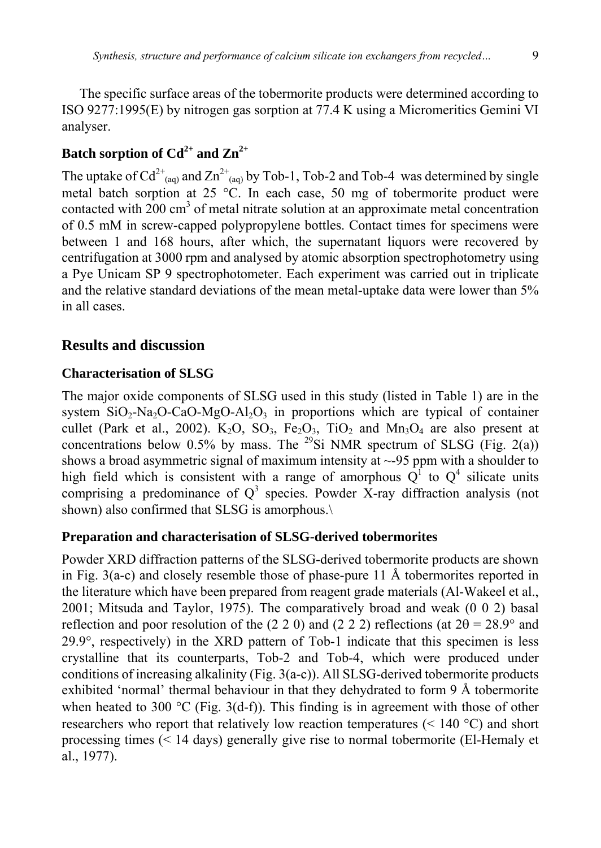The specific surface areas of the tobermorite products were determined according to ISO 9277:1995(E) by nitrogen gas sorption at 77.4 K using a Micromeritics Gemini VI analyser.

# Batch sorption of  $Cd^{2+}$  and  $Zn^{2+}$

The uptake of  $Cd^{2+}$ <sub>(aq)</sub> and  $Zn^{2+}$ <sub>(aq)</sub> by Tob-1, Tob-2 and Tob-4 was determined by single metal batch sorption at 25 °C. In each case, 50 mg of tobermorite product were contacted with  $200 \text{ cm}^3$  of metal nitrate solution at an approximate metal concentration of 0.5 mM in screw-capped polypropylene bottles. Contact times for specimens were between 1 and 168 hours, after which, the supernatant liquors were recovered by centrifugation at 3000 rpm and analysed by atomic absorption spectrophotometry using a Pye Unicam SP 9 spectrophotometer. Each experiment was carried out in triplicate and the relative standard deviations of the mean metal-uptake data were lower than 5% in all cases.

### **Results and discussion**

### **Characterisation of SLSG**

The major oxide components of SLSG used in this study (listed in Table 1) are in the system  $SiO_2$ -Na<sub>2</sub>O-CaO-MgO-Al<sub>2</sub>O<sub>3</sub> in proportions which are typical of container cullet (Park et al., 2002).  $K_2O$ ,  $SO_3$ ,  $Fe_2O_3$ ,  $TiO_2$  and  $Mn_3O_4$  are also present at concentrations below 0.5% by mass. The <sup>29</sup>Si NMR spectrum of SLSG (Fig. 2(a)) shows a broad asymmetric signal of maximum intensity at  $\sim$ -95 ppm with a shoulder to high field which is consistent with a range of amorphous  $Q^T$  to  $Q^4$  silicate units comprising a predominance of  $Q^3$  species. Powder X-ray diffraction analysis (not shown) also confirmed that SLSG is amorphous.\

### **Preparation and characterisation of SLSG-derived tobermorites**

Powder XRD diffraction patterns of the SLSG-derived tobermorite products are shown in Fig. 3(a-c) and closely resemble those of phase-pure 11 Å tobermorites reported in the literature which have been prepared from reagent grade materials (Al-Wakeel et al., 2001; Mitsuda and Taylor, 1975). The comparatively broad and weak (0 0 2) basal reflection and poor resolution of the (2 2 0) and (2 2 2) reflections (at  $2\theta = 28.9^{\circ}$  and 29.9°, respectively) in the XRD pattern of Tob-1 indicate that this specimen is less crystalline that its counterparts, Tob-2 and Tob-4, which were produced under conditions of increasing alkalinity (Fig. 3(a-c)). All SLSG-derived tobermorite products exhibited 'normal' thermal behaviour in that they dehydrated to form 9 Å tobermorite when heated to 300  $^{\circ}$ C (Fig. 3(d-f)). This finding is in agreement with those of other researchers who report that relatively low reaction temperatures  $(< 140 \degree C)$  and short processing times (< 14 days) generally give rise to normal tobermorite (El-Hemaly et al., 1977).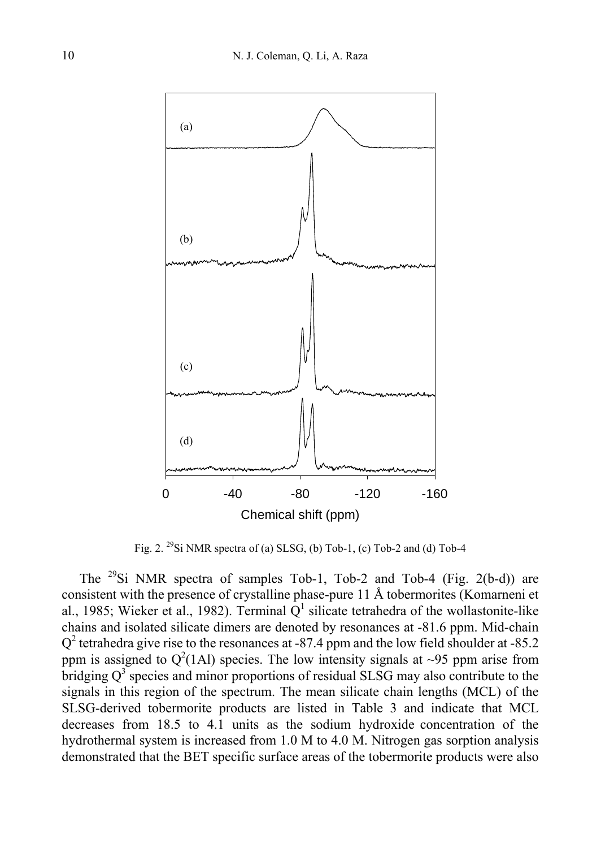

Fig. 2. 29Si NMR spectra of (a) SLSG, (b) Tob-1, (c) Tob-2 and (d) Tob-4

The 29Si NMR spectra of samples Tob-1, Tob-2 and Tob-4 (Fig. 2(b-d)) are consistent with the presence of crystalline phase-pure 11 Å tobermorites (Komarneni et al., 1985; Wieker et al., 1982). Terminal  $Q<sup>1</sup>$  silicate tetrahedra of the wollastonite-like chains and isolated silicate dimers are denoted by resonances at -81.6 ppm. Mid-chain  $Q<sup>2</sup>$  tetrahedra give rise to the resonances at -87.4 ppm and the low field shoulder at -85.2 ppm is assigned to  $Q^2(1 \text{Al})$  species. The low intensity signals at ~95 ppm arise from bridging  $Q<sup>3</sup>$  species and minor proportions of residual SLSG may also contribute to the signals in this region of the spectrum. The mean silicate chain lengths (MCL) of the SLSG-derived tobermorite products are listed in Table 3 and indicate that MCL decreases from 18.5 to 4.1 units as the sodium hydroxide concentration of the hydrothermal system is increased from 1.0 M to 4.0 M. Nitrogen gas sorption analysis demonstrated that the BET specific surface areas of the tobermorite products were also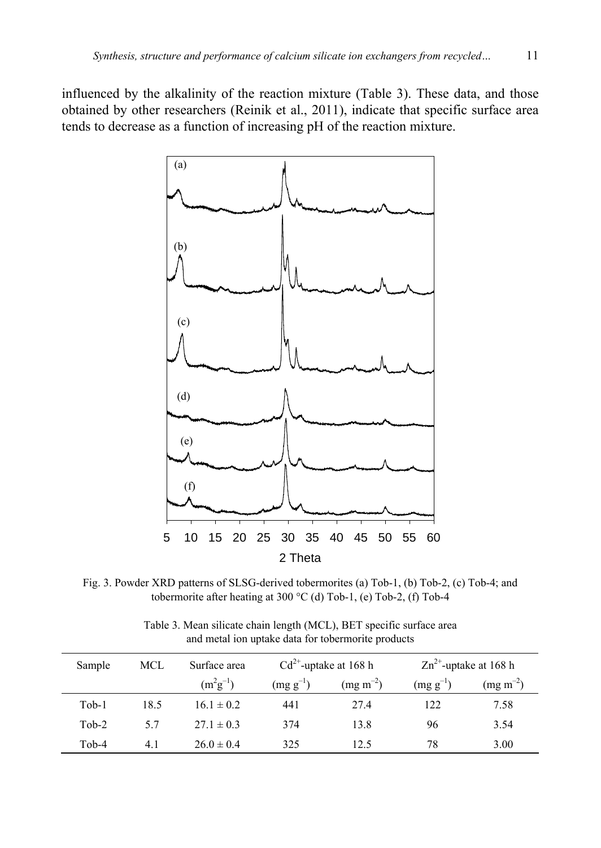influenced by the alkalinity of the reaction mixture (Table 3). These data, and those obtained by other researchers (Reinik et al., 2011), indicate that specific surface area tends to decrease as a function of increasing pH of the reaction mixture.



Fig. 3. Powder XRD patterns of SLSG-derived tobermorites (a) Tob-1, (b) Tob-2, (c) Tob-4; and tobermorite after heating at 300 °C (d) Tob-1, (e) Tob-2, (f) Tob-4

| Table 3. Mean silicate chain length (MCL), BET specific surface area |
|----------------------------------------------------------------------|
| and metal ion uptake data for tobermorite products                   |

| Sample  | MCL  | Surface area   | $Cd^{2+}$ -uptake at 168 h |                  |               | $\text{Zn}^{2+}$ -uptake at 168 h |
|---------|------|----------------|----------------------------|------------------|---------------|-----------------------------------|
|         |      | $(m^2g^{-1})$  | $(mg g^{-1})$              | $(mg \, m^{-2})$ | $(mg g^{-1})$ | $(mg\ m^{-2})$                    |
| $Tob-1$ | 18.5 | $16.1 \pm 0.2$ | 441                        | 27.4             | 122           | 7.58                              |
| $Tob-2$ | 5.7  | $27.1 \pm 0.3$ | 374                        | 13.8             | 96            | 3.54                              |
| Tob-4   | 4.1  | $26.0 \pm 0.4$ | 325                        | 12.5             | 78            | 3.00                              |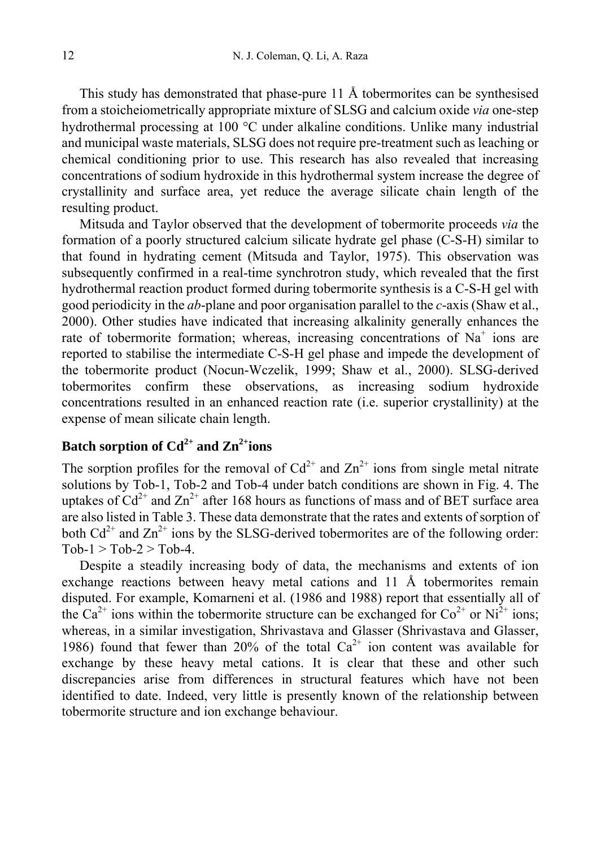This study has demonstrated that phase-pure 11 Å tobermorites can be synthesised from a stoicheiometrically appropriate mixture of SLSG and calcium oxide *via* one-step hydrothermal processing at 100 °C under alkaline conditions. Unlike many industrial and municipal waste materials, SLSG does not require pre-treatment such as leaching or chemical conditioning prior to use. This research has also revealed that increasing concentrations of sodium hydroxide in this hydrothermal system increase the degree of crystallinity and surface area, yet reduce the average silicate chain length of the resulting product.

Mitsuda and Taylor observed that the development of tobermorite proceeds *via* the formation of a poorly structured calcium silicate hydrate gel phase (C-S-H) similar to that found in hydrating cement (Mitsuda and Taylor, 1975). This observation was subsequently confirmed in a real-time synchrotron study, which revealed that the first hydrothermal reaction product formed during tobermorite synthesis is a C-S-H gel with good periodicity in the *ab*-plane and poor organisation parallel to the *c*-axis (Shaw et al., 2000). Other studies have indicated that increasing alkalinity generally enhances the rate of tobermorite formation; whereas, increasing concentrations of  $Na<sup>+</sup>$  ions are reported to stabilise the intermediate C-S-H gel phase and impede the development of the tobermorite product (Nocun-Wczelik, 1999; Shaw et al., 2000). SLSG-derived tobermorites confirm these observations, as increasing sodium hydroxide concentrations resulted in an enhanced reaction rate (i.e. superior crystallinity) at the expense of mean silicate chain length.

# Batch sorption of  $Cd^{2+}$  and  $Zn^{2+}$ ions

The sorption profiles for the removal of  $Cd^{2+}$  and  $Zn^{2+}$  ions from single metal nitrate solutions by Tob-1, Tob-2 and Tob-4 under batch conditions are shown in Fig. 4. The uptakes of  $Cd^{2+}$  and  $Zn^{2+}$  after 168 hours as functions of mass and of BET surface area are also listed in Table 3. These data demonstrate that the rates and extents of sorption of both  $Cd^{2+}$  and  $Zn^{2+}$  ions by the SLSG-derived tobermorites are of the following order:  $Tob-1 > Tob-2 > Tob-4$ .

Despite a steadily increasing body of data, the mechanisms and extents of ion exchange reactions between heavy metal cations and 11 Å tobermorites remain disputed. For example, Komarneni et al. (1986 and 1988) report that essentially all of the Ca<sup>2+</sup> ions within the tobermorite structure can be exchanged for  $Co^{2+}$  or Ni<sup>2+</sup> ions; whereas, in a similar investigation, Shrivastava and Glasser (Shrivastava and Glasser, 1986) found that fewer than 20% of the total  $Ca^{2+}$  ion content was available for exchange by these heavy metal cations. It is clear that these and other such discrepancies arise from differences in structural features which have not been identified to date. Indeed, very little is presently known of the relationship between tobermorite structure and ion exchange behaviour.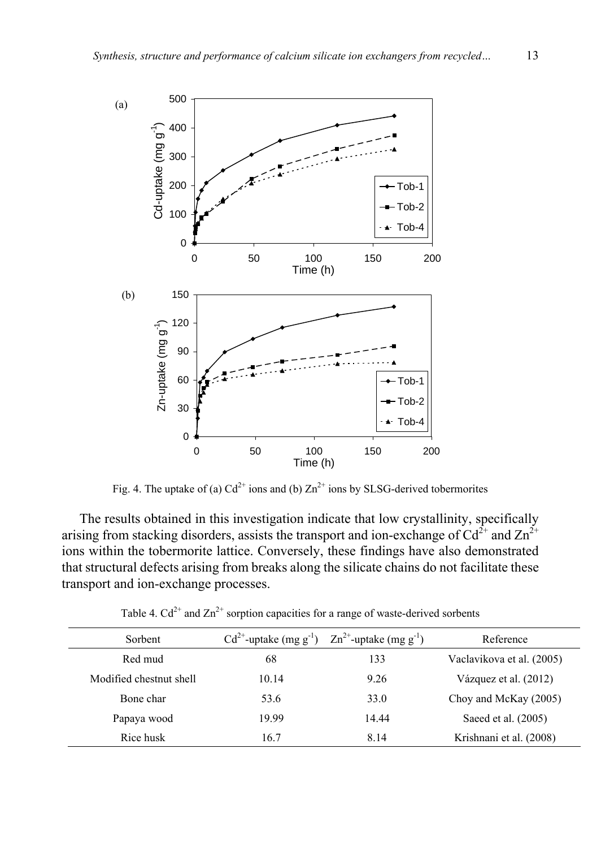

Fig. 4. The uptake of (a)  $Cd^{2+}$  ions and (b)  $Zn^{2+}$  ions by SLSG-derived tobermorites

The results obtained in this investigation indicate that low crystallinity, specifically arising from stacking disorders, assists the transport and ion-exchange of  $Cd^{2+}$  and  $Zn^{2+}$ ions within the tobermorite lattice. Conversely, these findings have also demonstrated that structural defects arising from breaks along the silicate chains do not facilitate these transport and ion-exchange processes.

|  | Table 4. $Cd^{2+}$ and $Zn^{2+}$ sorption capacities for a range of waste-derived sorbents |  |
|--|--------------------------------------------------------------------------------------------|--|
|--|--------------------------------------------------------------------------------------------|--|

| Sorbent                 | $Cd^{2+}$ -uptake (mg g <sup>-1</sup> ) | $Zn^{2+}$ -uptake (mg g <sup>-1</sup> ) | Reference                 |
|-------------------------|-----------------------------------------|-----------------------------------------|---------------------------|
| Red mud                 | 68                                      | 133                                     | Vaclavikova et al. (2005) |
| Modified chestnut shell | 10.14                                   | 9.26                                    | Vázquez et al. (2012)     |
| Bone char               | 53.6                                    | 33.0                                    | Choy and McKay (2005)     |
| Papaya wood             | 19.99                                   | 14.44                                   | Saeed et al. (2005)       |
| Rice husk               | 16.7                                    | 8.14                                    | Krishnani et al. (2008)   |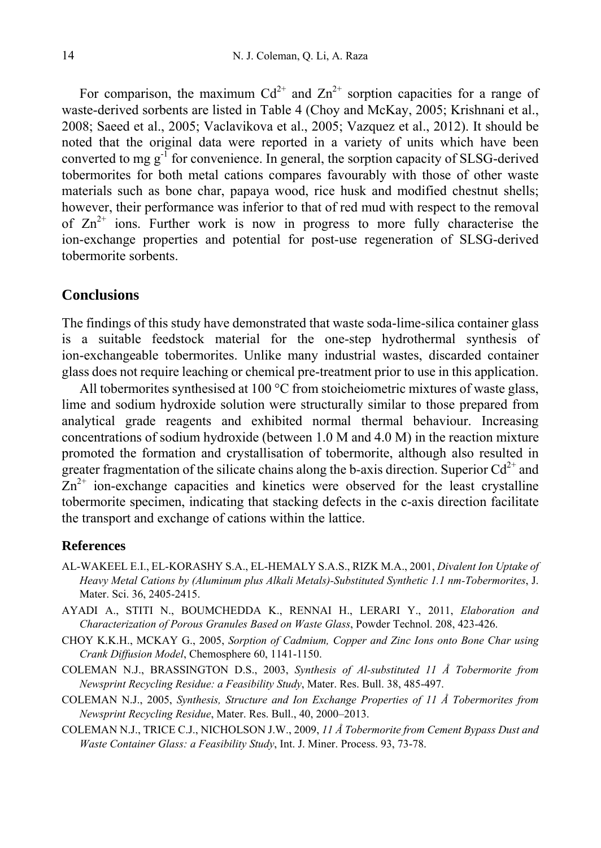For comparison, the maximum  $Cd^{2+}$  and  $Zn^{2+}$  sorption capacities for a range of waste-derived sorbents are listed in Table 4 (Choy and McKay, 2005; Krishnani et al., 2008; Saeed et al., 2005; Vaclavikova et al., 2005; Vazquez et al., 2012). It should be noted that the original data were reported in a variety of units which have been converted to mg  $g<sup>-1</sup>$  for convenience. In general, the sorption capacity of SLSG-derived tobermorites for both metal cations compares favourably with those of other waste materials such as bone char, papaya wood, rice husk and modified chestnut shells; however, their performance was inferior to that of red mud with respect to the removal of  $\text{Zn}^{2+}$  ions. Further work is now in progress to more fully characterise the ion-exchange properties and potential for post-use regeneration of SLSG-derived tobermorite sorbents.

#### **Conclusions**

The findings of this study have demonstrated that waste soda-lime-silica container glass is a suitable feedstock material for the one-step hydrothermal synthesis of ion-exchangeable tobermorites. Unlike many industrial wastes, discarded container glass does not require leaching or chemical pre-treatment prior to use in this application.

All tobermorites synthesised at 100 °C from stoicheiometric mixtures of waste glass, lime and sodium hydroxide solution were structurally similar to those prepared from analytical grade reagents and exhibited normal thermal behaviour. Increasing concentrations of sodium hydroxide (between 1.0 M and 4.0 M) in the reaction mixture promoted the formation and crystallisation of tobermorite, although also resulted in greater fragmentation of the silicate chains along the b-axis direction. Superior  $Cd^{2+}$  and  $Zn^{2+}$  ion-exchange capacities and kinetics were observed for the least crystalline tobermorite specimen, indicating that stacking defects in the c-axis direction facilitate the transport and exchange of cations within the lattice.

#### **References**

- AL-WAKEEL E.I., EL-KORASHY S.A., EL-HEMALY S.A.S., RIZK M.A., 2001, *Divalent Ion Uptake of Heavy Metal Cations by (Aluminum plus Alkali Metals)-Substituted Synthetic 1.1 nm-Tobermorites*, J. Mater. Sci. 36, 2405-2415.
- AYADI A., STITI N., BOUMCHEDDA K., RENNAI H., LERARI Y., 2011, *Elaboration and Characterization of Porous Granules Based on Waste Glass*, Powder Technol. 208, 423-426.
- CHOY K.K.H., MCKAY G., 2005, *Sorption of Cadmium, Copper and Zinc Ions onto Bone Char using Crank Diffusion Model*, Chemosphere 60, 1141-1150.
- COLEMAN N.J., BRASSINGTON D.S., 2003, *Synthesis of Al-substituted 11 Å Tobermorite from Newsprint Recycling Residue: a Feasibility Study*, Mater. Res. Bull. 38, 485-497.
- COLEMAN N.J., 2005, *Synthesis, Structure and Ion Exchange Properties of 11 Å Tobermorites from Newsprint Recycling Residue*, Mater. Res. Bull., 40, 2000–2013.
- COLEMAN N.J., TRICE C.J., NICHOLSON J.W., 2009, *11 Å Tobermorite from Cement Bypass Dust and Waste Container Glass: a Feasibility Study*, Int. J. Miner. Process. 93, 73-78.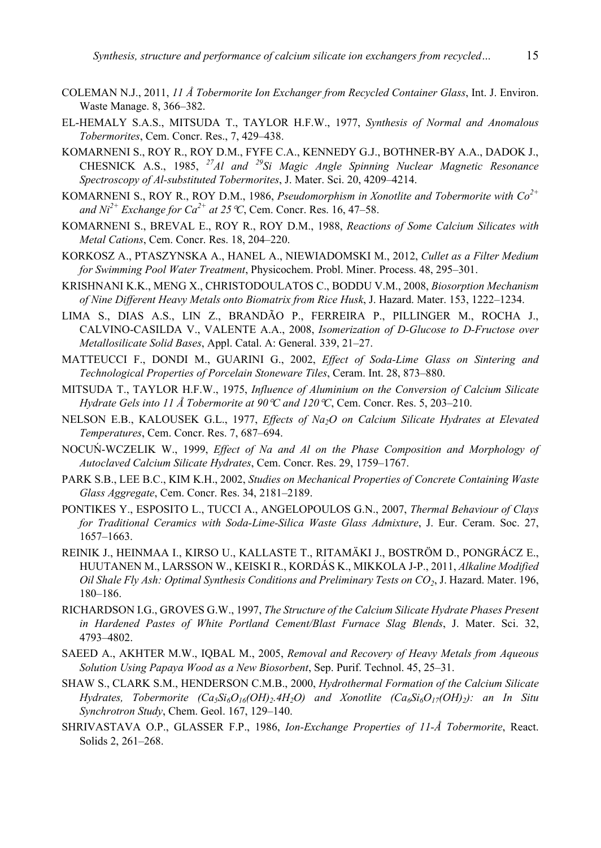- COLEMAN N.J., 2011, *11 Å Tobermorite Ion Exchanger from Recycled Container Glass*, Int. J. Environ. Waste Manage. 8, 366–382.
- EL-HEMALY S.A.S., MITSUDA T., TAYLOR H.F.W., 1977, *Synthesis of Normal and Anomalous Tobermorites*, Cem. Concr. Res., 7, 429–438.
- KOMARNENI S., ROY R., ROY D.M., FYFE C.A., KENNEDY G.J., BOTHNER-BY A.A., DADOK J., CHESNICK A.S., 1985, *27Al and 29Si Magic Angle Spinning Nuclear Magnetic Resonance Spectroscopy of Al-substituted Tobermorites*, J. Mater. Sci. 20, 4209–4214.
- KOMARNENI S., ROY R., ROY D.M., 1986, *Pseudomorphism in Xonotlite and Tobermorite with Co2+* and  $Ni^{2+}$  Exchange for  $Ca^{2+}$  at 25 °C, Cem. Concr. Res. 16, 47–58.
- KOMARNENI S., BREVAL E., ROY R., ROY D.M., 1988, *Reactions of Some Calcium Silicates with Metal Cations*, Cem. Concr. Res. 18, 204–220.
- KORKOSZ A., PTASZYNSKA A., HANEL A., NIEWIADOMSKI M., 2012, *Cullet as a Filter Medium for Swimming Pool Water Treatment*, Physicochem. Probl. Miner. Process. 48, 295–301.
- KRISHNANI K.K., MENG X., CHRISTODOULATOS C., BODDU V.M., 2008, *Biosorption Mechanism of Nine Different Heavy Metals onto Biomatrix from Rice Husk*, J. Hazard. Mater. 153, 1222–1234.
- LIMA S., DIAS A.S., LIN Z., BRANDÃO P., FERREIRA P., PILLINGER M., ROCHA J., CALVINO-CASILDA V., VALENTE A.A., 2008, *Isomerization of D-Glucose to D-Fructose over Metallosilicate Solid Bases*, Appl. Catal. A: General. 339, 21–27.
- MATTEUCCI F., DONDI M., GUARINI G., 2002, *Effect of Soda-Lime Glass on Sintering and Technological Properties of Porcelain Stoneware Tiles*, Ceram. Int. 28, 873–880.
- MITSUDA T., TAYLOR H.F.W., 1975, *Influence of Aluminium on the Conversion of Calcium Silicate Hydrate Gels into 11 Å Tobermorite at 90* $\mathcal C$  *and 120* $\mathcal C$ , Cem. Concr. Res. 5, 203–210.
- NELSON E.B., KALOUSEK G.L., 1977, *Effects of Na2O on Calcium Silicate Hydrates at Elevated Temperatures*, Cem. Concr. Res. 7, 687–694.
- NOCUŃ-WCZELIK W., 1999, *Effect of Na and Al on the Phase Composition and Morphology of Autoclaved Calcium Silicate Hydrates*, Cem. Concr. Res. 29, 1759–1767.
- PARK S.B., LEE B.C., KIM K.H., 2002, *Studies on Mechanical Properties of Concrete Containing Waste Glass Aggregate*, Cem. Concr. Res. 34, 2181–2189.
- PONTIKES Y., ESPOSITO L., TUCCI A., ANGELOPOULOS G.N., 2007, *Thermal Behaviour of Clays for Traditional Ceramics with Soda-Lime-Silica Waste Glass Admixture*, J. Eur. Ceram. Soc. 27, 1657–1663.
- REINIK J., HEINMAA I., KIRSO U., KALLASTE T., RITAMÄKI J., BOSTRÖM D., PONGRÁCZ E., HUUTANEN M., LARSSON W., KEISKI R., KORDÁS K., MIKKOLA J-P., 2011, *Alkaline Modified Oil Shale Fly Ash: Optimal Synthesis Conditions and Preliminary Tests on CO2*, J. Hazard. Mater. 196, 180–186.
- RICHARDSON I.G., GROVES G.W., 1997, *The Structure of the Calcium Silicate Hydrate Phases Present in Hardened Pastes of White Portland Cement/Blast Furnace Slag Blends*, J. Mater. Sci. 32, 4793–4802.
- SAEED A., AKHTER M.W., IQBAL M., 2005, *Removal and Recovery of Heavy Metals from Aqueous Solution Using Papaya Wood as a New Biosorbent*, Sep. Purif. Technol. 45, 25–31.
- SHAW S., CLARK S.M., HENDERSON C.M.B., 2000, *Hydrothermal Formation of the Calcium Silicate Hydrates, Tobermorite (Ca<sub>5</sub>Si<sub>6</sub>O<sub>16</sub>(OH)<sub>2</sub>.4H<sub>2</sub>O) and Xonotlite (Ca<sub>6</sub>Si<sub>6</sub>O<sub>17</sub>(OH)<sub>2</sub>): an In Situ Synchrotron Study*, Chem. Geol. 167, 129–140.
- SHRIVASTAVA O.P., GLASSER F.P., 1986, *Ion-Exchange Properties of 11-Å Tobermorite*, React. Solids 2, 261–268.